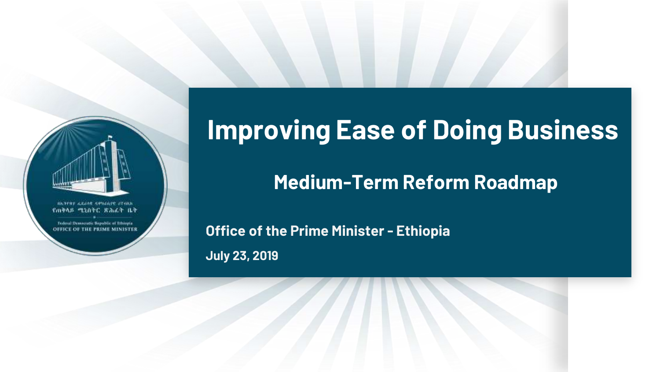

**Improving Ease of Doing Business**

**Medium-Term Reform Roadmap** 

**July 23, 2019 Office of the Prime Minister - Ethiopia**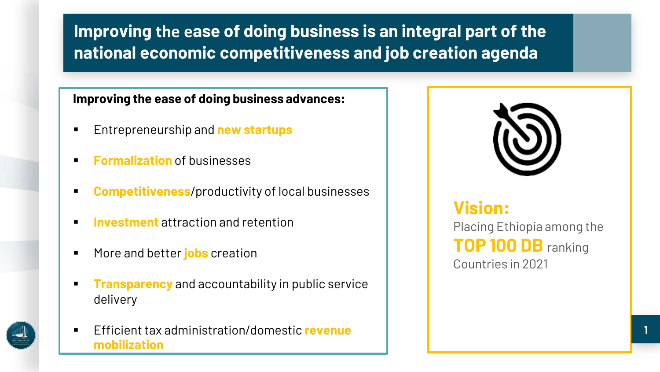### **Improving the ease of doing business is an integral part of the national economic competitiveness and job creation agenda**

#### **Improving the ease of doing business advances:**

- Entrepreneurship and **new startups**
- **Formalization** of businesses
- **Competitiveness**/productivity of local businesses
- **Investment** attraction and retention
- More and better **jobs** creation
- **Transparency** and accountability in public service delivery
- Efficient tax administration/domestic **revenue mobilization**



**Vision:** Placing Ethiopia among the **TOP 100 DB** ranking Countries in 2021

**1**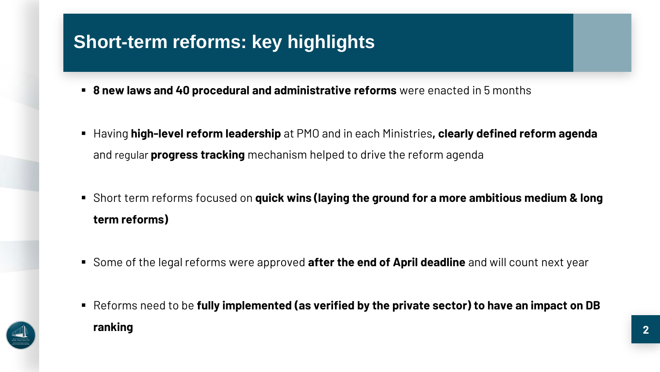## **Short-term reforms: key highlights**

- **8 new laws and 40 procedural and administrative reforms** were enacted in 5 months
- Having **high-level reform leadership** at PMO and in each Ministries**, clearly defined reform agenda**  and regular **progress tracking** mechanism helped to drive the reform agenda
- **Short term reforms focused on quick wins (laying the ground for a more ambitious medium & long term reforms)**
- Some of the legal reforms were approved **after the end of April deadline** and will count next year
- Reforms need to be **fully implemented (as verified by the private sector) to have an impact on DB ranking**

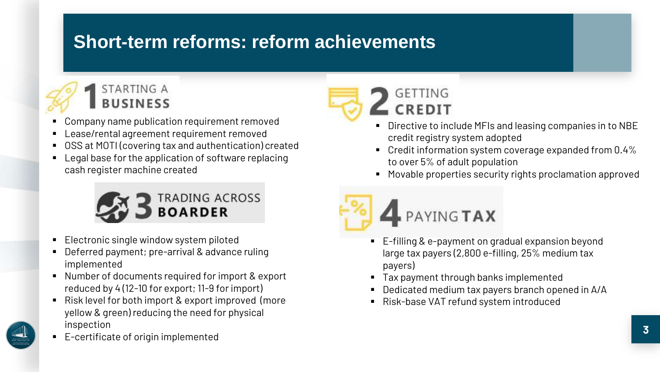## **Short-term reforms: reform achievements**



- Company name publication requirement removed
- Lease/rental agreement requirement removed
- OSS at MOTI (covering tax and authentication) created
- Legal base for the application of software replacing cash register machine created



- Electronic single window system piloted
- Deferred payment; pre-arrival & advance ruling implemented
- Number of documents required for import & export reduced by 4 (12-10 for export; 11-9 for import)
- Risk level for both import & export improved (more yellow & green) reducing the need for physical inspection



E-certificate of origin implemented



#### Directive to include MFIs and leasing companies in to NBE credit registry system adopted

- Credit information system coverage expanded from 0.4% to over 5% of adult population
- Movable properties security rights proclamation approved



- E-filling & e-payment on gradual expansion beyond large tax payers (2,800 e-filling, 25% medium tax payers)
- Tax payment through banks implemented
- Dedicated medium tax payers branch opened in A/A
- Risk-base VAT refund system introduced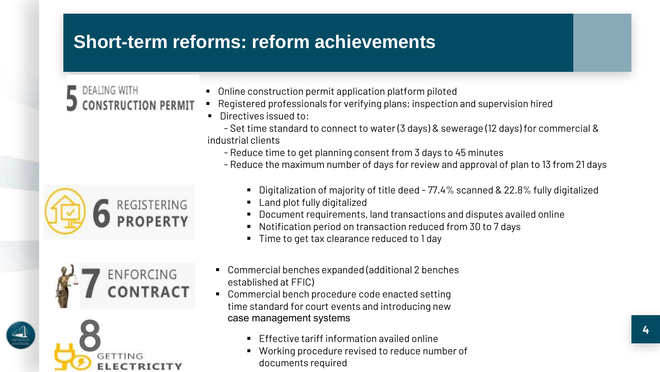## **Short-term reforms: reform achievements**

# DEALING WITH

- Online construction permit application platform piloted
- Registered professionals for verifying plans; inspection and supervision hired
- Directives issued to:
- Set time standard to connect to water (3 days) & sewerage (12 days) for commercial & industrial clients
	- Reduce time to get planning consent from 3 days to 45 minutes
	- Reduce the maximum number of days for review and approval of plan to 13 from 21 days







- Digitalization of majority of title deed 77.4% scanned & 22.8% fully digitalized
- Land plot fully digitalized
- Document requirements, land transactions and disputes availed online
- Notification period on transaction reduced from 30 to 7 days
- Time to get tax clearance reduced to 1 day
- Commercial benches expanded (additional 2 benches established at FFIC)
- **Commercial bench procedure code enacted setting** time standard for court events and introducing new case management systems
	- Effective tariff information availed online
	- Working procedure revised to reduce number of documents required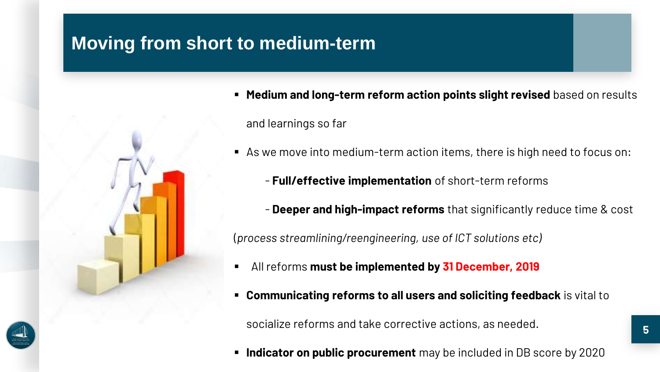## **Moving from short to medium-term**



- **Medium and long-term reform action points slight revised** based on results and learnings so far
- As we move into medium-term action items, there is high need to focus on:
	- **Full/effective implementation** of short-term reforms
	- **Deeper and high-impact reforms** that significantly reduce time & cost

(*process streamlining/reengineering, use of ICT solutions etc)*

- All reforms **must be implemented by 31 December, 2019**
- **Communicating reforms to all users and soliciting feedback** is vital to

socialize reforms and take corrective actions, as needed.

**Indicator on public procurement** may be included in DB score by 2020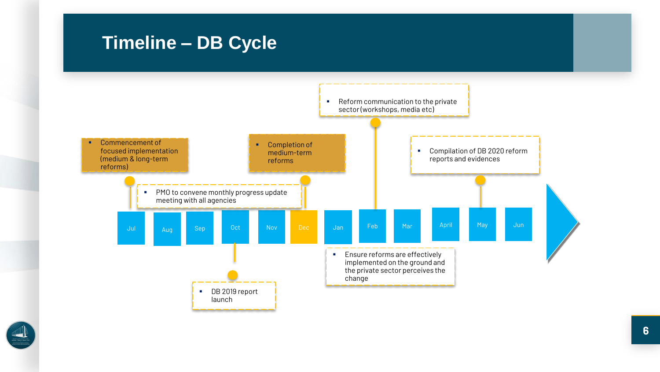### **Timeline – DB Cycle**



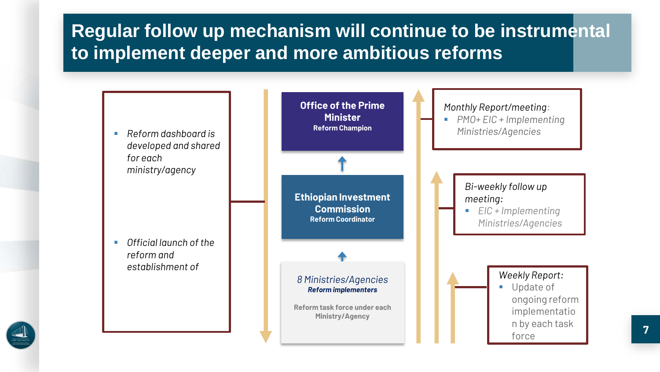## **Regular follow up mechanism will continue to be instrumental to implement deeper and more ambitious reforms**



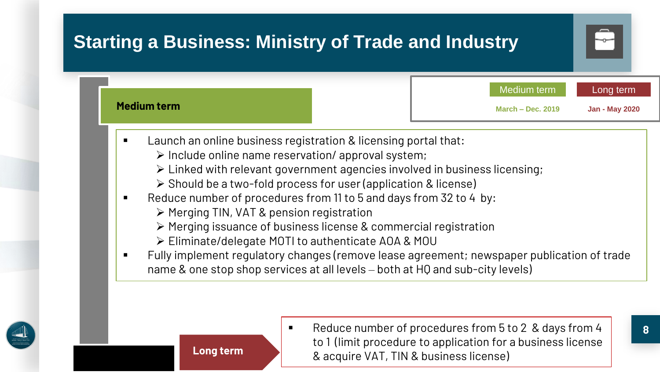

- $\triangleright$  Include online name reservation/ approval system;
- Linked with relevant government agencies involved in business licensing;
- $\triangleright$  Should be a two-fold process for user (application & license)
- Reduce number of procedures from 11 to 5 and days from 32 to 4 by:
	- Merging TIN, VAT & pension registration

**Long term**

- Merging issuance of business license & commercial registration
- Eliminate/delegate MOTI to authenticate AOA & MOU
- Fully implement regulatory changes (remove lease agreement; newspaper publication of trade name & one stop shop services at all levels – both at HQ and sub-city levels)





Reduce number of procedures from 5 to 2 & days from 4 to 1 (limit procedure to application for a business license & acquire VAT, TIN & business license)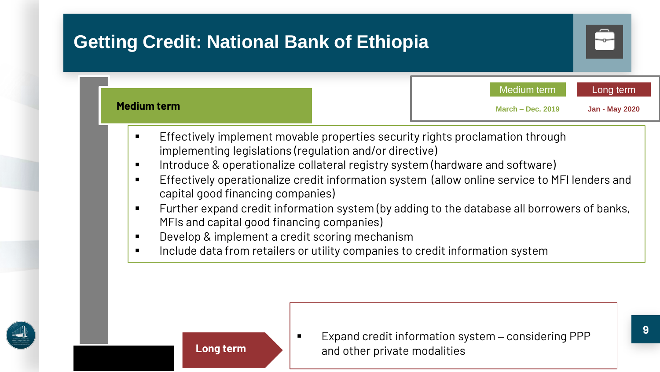





 Expand credit information system – considering PPP and other private modalities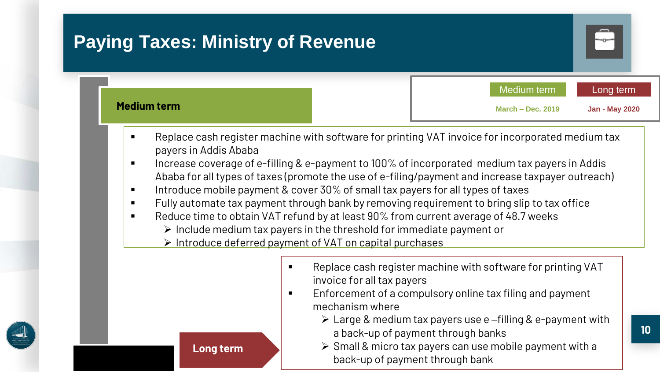

- Increase coverage of e-filling & e-payment to 100% of incorporated medium tax payers in Addis Ababa for all types of taxes (promote the use of e-filing/payment and increase taxpayer outreach)
- Introduce mobile payment & cover 30% of small tax payers for all types of taxes
- Fully automate tax payment through bank by removing requirement to bring slip to tax office
- Reduce time to obtain VAT refund by at least 90% from current average of 48.7 weeks
	- $\triangleright$  Include medium tax payers in the threshold for immediate payment or
	- $\triangleright$  Introduce deferred payment of VAT on capital purchases



- **EXECT** Replace cash register machine with software for printing VAT invoice for all tax payers
- **Enforcement of a compulsory online tax filing and payment** mechanism where
	- $\triangleright$  Large & medium tax payers use e-filling & e-payment with a back-up of payment through banks
	- $\triangleright$  Small & micro tax payers can use mobile payment with a back-up of payment through bank

**Long term**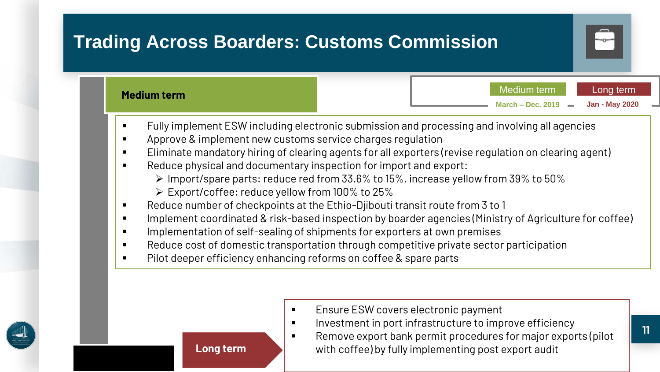

- Fully implement ESW including electronic submission and processing and involving all agencies
- **Approve & implement new customs service charges regulation**
- Eliminate mandatory hiring of clearing agents for all exporters (revise regulation on clearing agent)
- **EXECT** Reduce physical and documentary inspection for import and export:
	- $\triangleright$  Import/spare parts: reduce red from 33.6% to 15%, increase yellow from 39% to 50%
	- Export/coffee: reduce yellow from 100% to 25%
- Reduce number of checkpoints at the Ethio-Djibouti transit route from 3 to 1
- **IMPLEMENT COORDINATED & risk-based inspection by boarder agencies (Ministry of Agriculture for coffee)**
- **IMPLEMENT IMPLEMENT IMPLEMENT IMPLEM** Implements for exporters at own premises
- **EXECT** Reduce cost of domestic transportation through competitive private sector participation
- **Pilot deeper efficiency enhancing reforms on coffee & spare parts**

- **Ensure ESW covers electronic payment**
- **Investment in port infrastructure to improve efficiency**
- Remove export bank permit procedures for major exports (pilot with coffee) by fully implementing post export audit

**11**



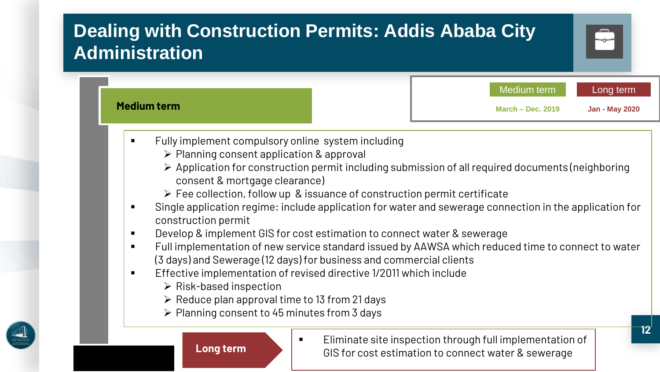## **Dealing with Construction Permits: Addis Ababa City Administration** Medium term Long term

- Fully implement compulsory online system including
	- $\triangleright$  Planning consent application & approval
	- Application for construction permit including submission of all required documents (neighboring consent & mortgage clearance)
	- $\triangleright$  Fee collection, follow up & issuance of construction permit certificate
- Single application regime: include application for water and sewerage connection in the application for construction permit
- **Develop & implement GIS for cost estimation to connect water & sewerage**
- Full implementation of new service standard issued by AAWSA which reduced time to connect to water (3 days) and Sewerage (12 days) for business and commercial clients
- **Effective implementation of revised directive 1/2011 which include** 
	- $\triangleright$  Risk-based inspection

**Medium term**

- $\triangleright$  Reduce plan approval time to 13 from 21 days
- $\triangleright$  Planning consent to 45 minutes from 3 days





**Eliminate site inspection through full implementation of** GIS for cost estimation to connect water & sewerage

**March – Dec. 2019 Jan - May 2020**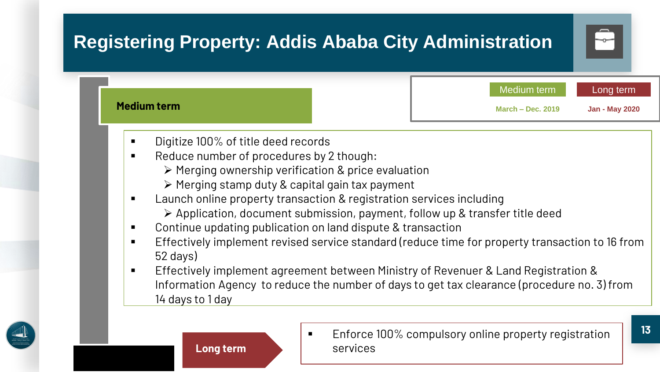

- Application, document submission, payment, follow up & transfer title deed
- Continue updating publication on land dispute & transaction
- **Effectively implement revised service standard (reduce time for property transaction to 16 from** 52 days)
- Effectively implement agreement between Ministry of Revenuer & Land Registration & Information Agency to reduce the number of days to get tax clearance (procedure no. 3) from 14 days to 1 day







**Enforce 100% compulsory online property registration** services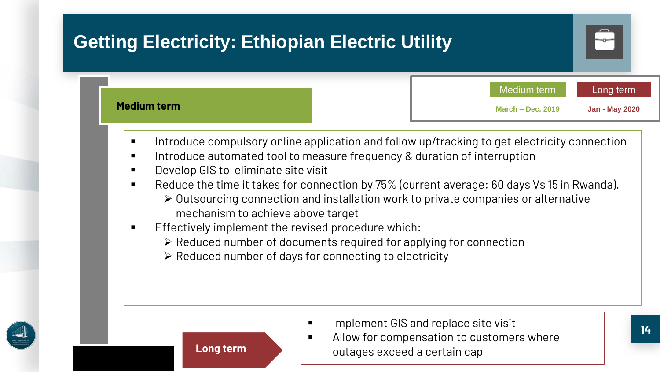| <b>Getting Electricity: Ethiopian Electric Utility</b> |                                    |                                    |
|--------------------------------------------------------|------------------------------------|------------------------------------|
| Medium term                                            | Medium term<br>March $-$ Dec. 2019 | Long term<br><b>Jan - May 2020</b> |

- **Introduce compulsory online application and follow up/tracking to get electricity connection**
- **Introduce automated tool to measure frequency & duration of interruption**
- **Develop GIS to eliminate site visit**
- Reduce the time it takes for connection by 75% (current average: 60 days Vs 15 in Rwanda).
	- $\triangleright$  Outsourcing connection and installation work to private companies or alternative mechanism to achieve above target
- Effectively implement the revised procedure which:
	- $\triangleright$  Reduced number of documents required for applying for connection
	- $\triangleright$  Reduced number of days for connecting to electricity







- **IMPLEMENT GIS and replace site visit**
- **Allow for compensation to customers where** outages exceed a certain cap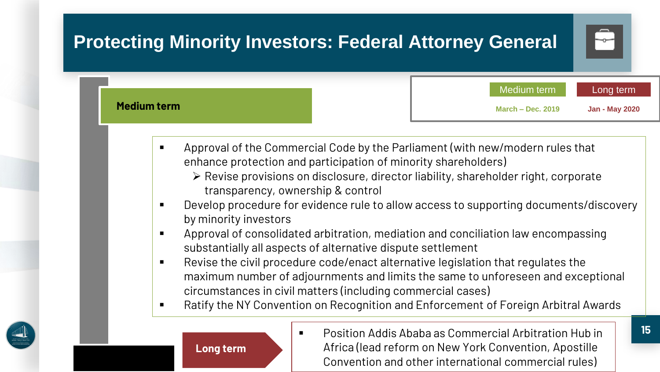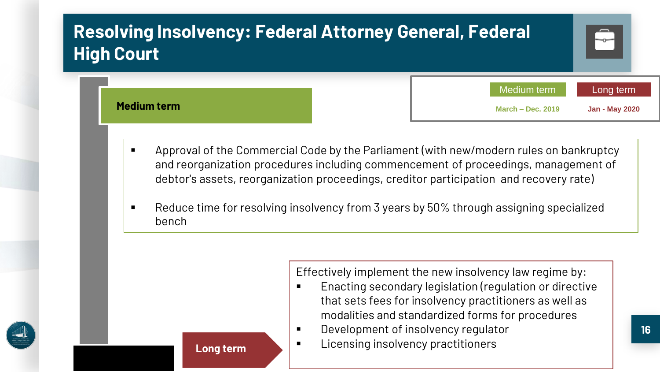| <b>Resolving Insolvency: Federal Attorney General, Federal</b><br><b>High Court</b> |                                         | $\overline{\phantom{m}}$           |
|-------------------------------------------------------------------------------------|-----------------------------------------|------------------------------------|
| <b>Medium term</b>                                                                  | Medium term<br><b>March - Dec. 2019</b> | Long term<br><b>Jan - May 2020</b> |

- Approval of the Commercial Code by the Parliament (with new/modern rules on bankruptcy and reorganization procedures including commencement of proceedings, management of debtor's assets, reorganization proceedings, creditor participation and recovery rate)
- Reduce time for resolving insolvency from 3 years by 50% through assigning specialized bench

Effectively implement the new insolvency law regime by:

- **Enacting secondary legislation (regulation or directive** that sets fees for insolvency practitioners as well as modalities and standardized forms for procedures
- Development of insolvency regulator
- Licensing insolvency practitioners



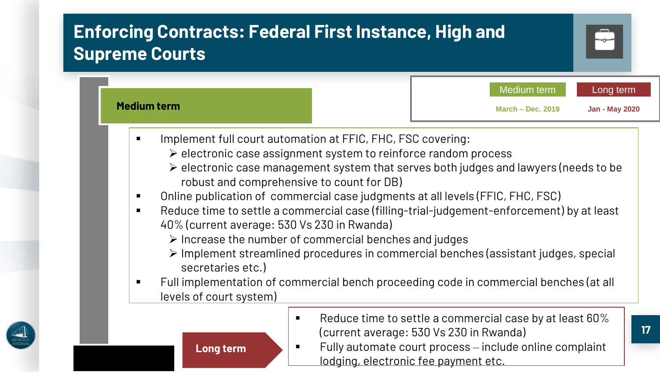## **Enforcing Contracts: Federal First Instance, High and Supreme Courts**



**Long term**



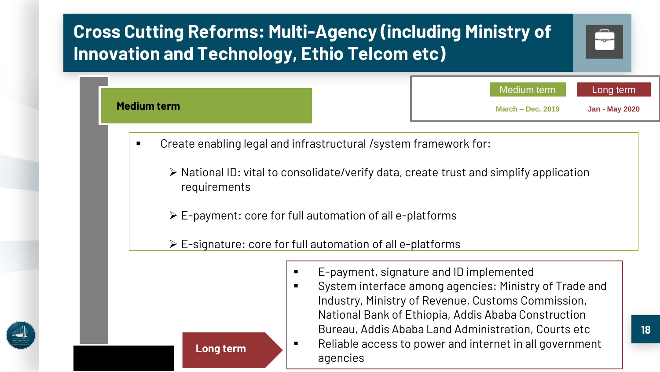

- National ID: vital to consolidate/verify data, create trust and simplify application requirements
- $\triangleright$  E-payment: core for full automation of all e-platforms
- E-signature: core for full automation of all e-platforms

agencies

**Long term**



- E-payment, signature and ID implemented
- System interface among agencies: Ministry of Trade and Industry, Ministry of Revenue, Customs Commission, National Bank of Ethiopia, Addis Ababa Construction Bureau, Addis Ababa Land Administration, Courts etc ■ Reliable access to power and internet in all government